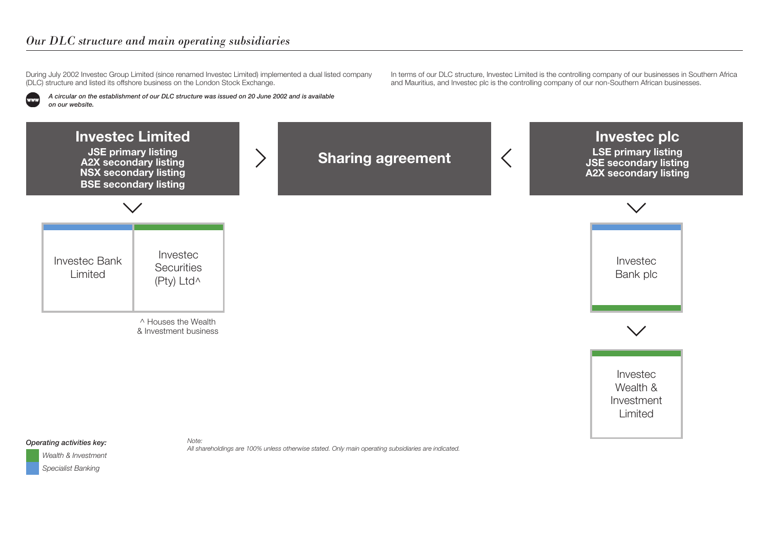## *Our DLC structure and main operating subsidiaries*

During July 2002 Investec Group Limited (since renamed Investec Limited) implemented a dual listed company (DLC) structure and listed its offshore business on the London Stock Exchange.

*A circular on the establishment of our DLC structure was issued on 20 June 2002 and is available on our website.*

In terms of our DLC structure, Investec Limited is the controlling company of our businesses in Southern Africa and Mauritius, and Investec plc is the controlling company of our non‑Southern African businesses.